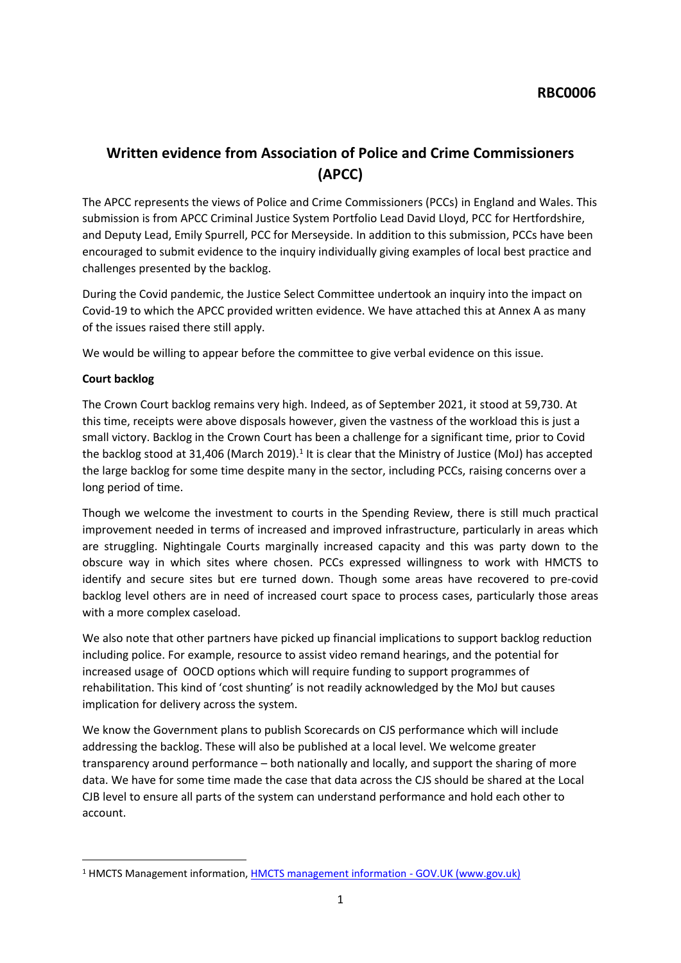# **Written evidence from Association of Police and Crime Commissioners (APCC)**

The APCC represents the views of Police and Crime Commissioners (PCCs) in England and Wales. This submission is from APCC Criminal Justice System Portfolio Lead David Lloyd, PCC for Hertfordshire, and Deputy Lead, Emily Spurrell, PCC for Merseyside. In addition to this submission, PCCs have been encouraged to submit evidence to the inquiry individually giving examples of local best practice and challenges presented by the backlog.

During the Covid pandemic, the Justice Select Committee undertook an inquiry into the impact on Covid-19 to which the APCC provided written evidence. We have attached this at Annex A as many of the issues raised there still apply.

We would be willing to appear before the committee to give verbal evidence on this issue.

## **Court backlog**

The Crown Court backlog remains very high. Indeed, as of September 2021, it stood at 59,730. At this time, receipts were above disposals however, given the vastness of the workload this is just a small victory. Backlog in the Crown Court has been a challenge for a significant time, prior to Covid the backlog stood at 31,406 (March 2019).<sup>1</sup> It is clear that the Ministry of Justice (MoJ) has accepted the large backlog for some time despite many in the sector, including PCCs, raising concerns over a long period of time.

Though we welcome the investment to courts in the Spending Review, there is still much practical improvement needed in terms of increased and improved infrastructure, particularly in areas which are struggling. Nightingale Courts marginally increased capacity and this was party down to the obscure way in which sites where chosen. PCCs expressed willingness to work with HMCTS to identify and secure sites but ere turned down. Though some areas have recovered to pre-covid backlog level others are in need of increased court space to process cases, particularly those areas with a more complex caseload.

We also note that other partners have picked up financial implications to support backlog reduction including police. For example, resource to assist video remand hearings, and the potential for increased usage of OOCD options which will require funding to support programmes of rehabilitation. This kind of 'cost shunting' is not readily acknowledged by the MoJ but causes implication for delivery across the system.

We know the Government plans to publish Scorecards on CJS performance which will include addressing the backlog. These will also be published at a local level. We welcome greater transparency around performance – both nationally and locally, and support the sharing of more data. We have for some time made the case that data across the CJS should be shared at the Local CJB level to ensure all parts of the system can understand performance and hold each other to account.

<sup>1</sup> HMCTS Management information, [HMCTS](https://www.gov.uk/government/collections/hmcts-management-information) [management](https://www.gov.uk/government/collections/hmcts-management-information) [information](https://www.gov.uk/government/collections/hmcts-management-information) [-](https://www.gov.uk/government/collections/hmcts-management-information) [GOV.UK](https://www.gov.uk/government/collections/hmcts-management-information) [\(www.gov.uk\)](https://www.gov.uk/government/collections/hmcts-management-information)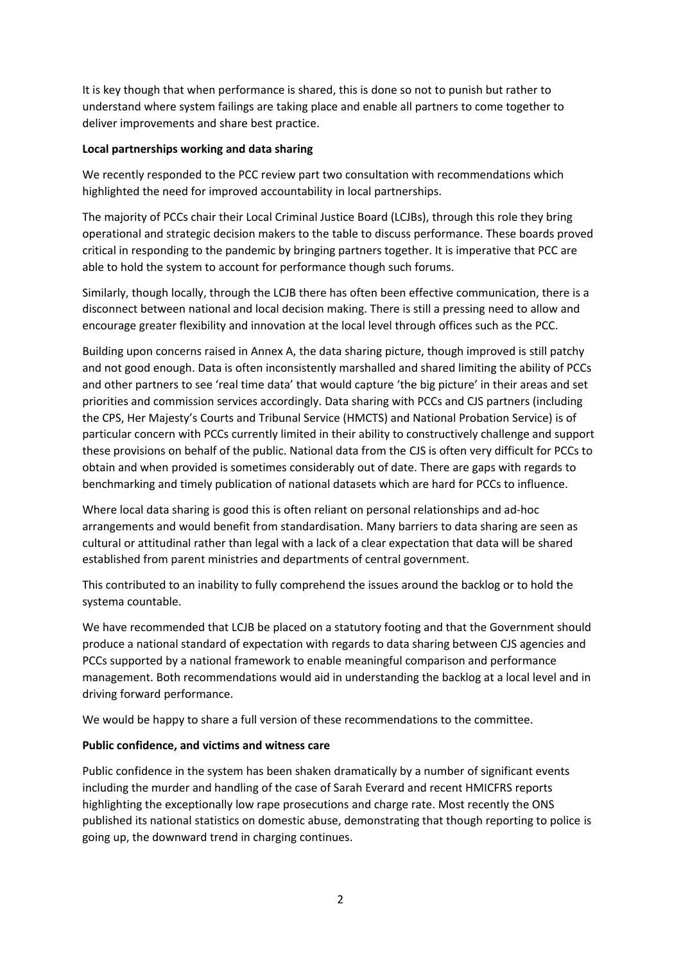It is key though that when performance is shared, this is done so not to punish but rather to understand where system failings are taking place and enable all partners to come together to deliver improvements and share best practice.

## **Local partnerships working and data sharing**

We recently responded to the PCC review part two consultation with recommendations which highlighted the need for improved accountability in local partnerships.

The majority of PCCs chair their Local Criminal Justice Board (LCJBs), through this role they bring operational and strategic decision makers to the table to discuss performance. These boards proved critical in responding to the pandemic by bringing partners together. It is imperative that PCC are able to hold the system to account for performance though such forums.

Similarly, though locally, through the LCJB there has often been effective communication, there is a disconnect between national and local decision making. There is still a pressing need to allow and encourage greater flexibility and innovation at the local level through offices such as the PCC.

Building upon concerns raised in Annex A, the data sharing picture, though improved is still patchy and not good enough. Data is often inconsistently marshalled and shared limiting the ability of PCCs and other partners to see 'real time data' that would capture 'the big picture' in their areas and set priorities and commission services accordingly. Data sharing with PCCs and CJS partners (including the CPS, Her Majesty's Courts and Tribunal Service (HMCTS) and National Probation Service) is of particular concern with PCCs currently limited in their ability to constructively challenge and support these provisions on behalf of the public. National data from the CJS is often very difficult for PCCs to obtain and when provided is sometimes considerably out of date. There are gaps with regards to benchmarking and timely publication of national datasets which are hard for PCCs to influence.

Where local data sharing is good this is often reliant on personal relationships and ad-hoc arrangements and would benefit from standardisation. Many barriers to data sharing are seen as cultural or attitudinal rather than legal with a lack of a clear expectation that data will be shared established from parent ministries and departments of central government.

This contributed to an inability to fully comprehend the issues around the backlog or to hold the systema countable.

We have recommended that LCJB be placed on a statutory footing and that the Government should produce a national standard of expectation with regards to data sharing between CJS agencies and PCCs supported by a national framework to enable meaningful comparison and performance management. Both recommendations would aid in understanding the backlog at a local level and in driving forward performance.

We would be happy to share a full version of these recommendations to the committee.

## **Public confidence, and victims and witness care**

Public confidence in the system has been shaken dramatically by a number of significant events including the murder and handling of the case of Sarah Everard and recent HMICFRS reports highlighting the exceptionally low rape prosecutions and charge rate. Most recently the ONS published its national statistics on domestic abuse, demonstrating that though reporting to police is going up, the downward trend in charging continues.